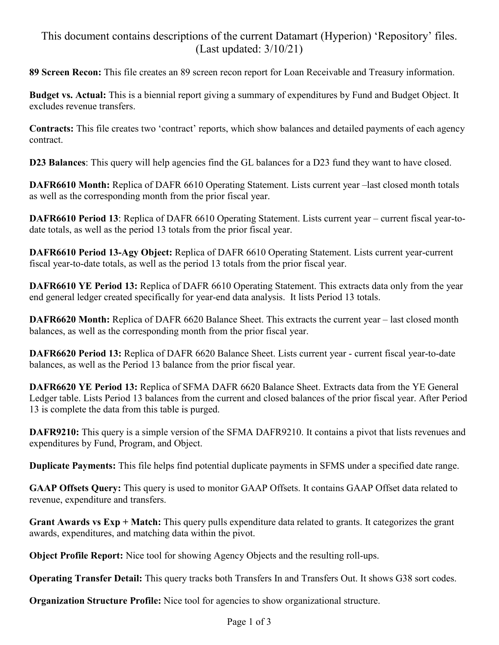## This document contains descriptions of the current Datamart (Hyperion) 'Repository' files. (Last updated: 3/10/21)

**89 Screen Recon:** This file creates an 89 screen recon report for Loan Receivable and Treasury information.

**Budget vs. Actual:** This is a biennial report giving a summary of expenditures by Fund and Budget Object. It excludes revenue transfers.

**Contracts:** This file creates two 'contract' reports, which show balances and detailed payments of each agency contract.

**D23 Balances**: This query will help agencies find the GL balances for a D23 fund they want to have closed.

**DAFR6610 Month:** Replica of DAFR 6610 Operating Statement. Lists current year –last closed month totals as well as the corresponding month from the prior fiscal year.

**DAFR6610 Period 13**: Replica of DAFR 6610 Operating Statement. Lists current year – current fiscal year-todate totals, as well as the period 13 totals from the prior fiscal year.

**DAFR6610 Period 13-Agy Object:** Replica of DAFR 6610 Operating Statement. Lists current year-current fiscal year-to-date totals, as well as the period 13 totals from the prior fiscal year.

**DAFR6610 YE Period 13:** Replica of DAFR 6610 Operating Statement. This extracts data only from the year end general ledger created specifically for year-end data analysis. It lists Period 13 totals.

**DAFR6620 Month:** Replica of DAFR 6620 Balance Sheet. This extracts the current year – last closed month balances, as well as the corresponding month from the prior fiscal year.

**DAFR6620 Period 13:** Replica of DAFR 6620 Balance Sheet. Lists current year - current fiscal year-to-date balances, as well as the Period 13 balance from the prior fiscal year.

**DAFR6620 YE Period 13:** Replica of SFMA DAFR 6620 Balance Sheet. Extracts data from the YE General Ledger table. Lists Period 13 balances from the current and closed balances of the prior fiscal year. After Period 13 is complete the data from this table is purged.

**DAFR9210:** This query is a simple version of the SFMA DAFR9210. It contains a pivot that lists revenues and expenditures by Fund, Program, and Object.

**Duplicate Payments:** This file helps find potential duplicate payments in SFMS under a specified date range.

**GAAP Offsets Query:** This query is used to monitor GAAP Offsets. It contains GAAP Offset data related to revenue, expenditure and transfers.

**Grant Awards vs Exp + Match:** This query pulls expenditure data related to grants. It categorizes the grant awards, expenditures, and matching data within the pivot.

**Object Profile Report:** Nice tool for showing Agency Objects and the resulting roll-ups.

**Operating Transfer Detail:** This query tracks both Transfers In and Transfers Out. It shows G38 sort codes.

**Organization Structure Profile:** Nice tool for agencies to show organizational structure.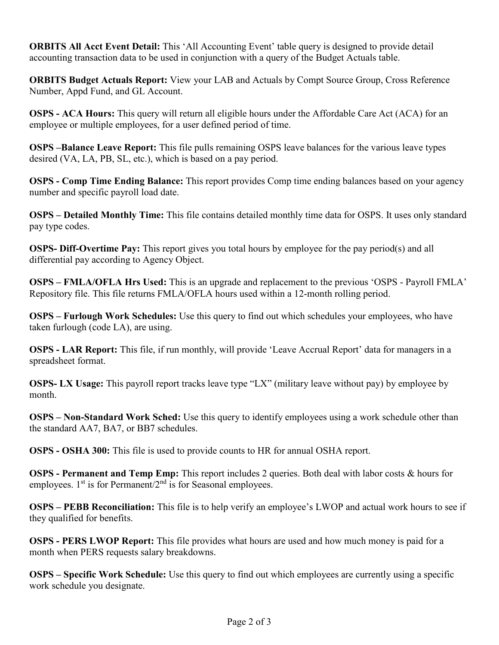**ORBITS All Acct Event Detail:** This 'All Accounting Event' table query is designed to provide detail accounting transaction data to be used in conjunction with a query of the Budget Actuals table.

**ORBITS Budget Actuals Report:** View your LAB and Actuals by Compt Source Group, Cross Reference Number, Appd Fund, and GL Account.

**OSPS - ACA Hours:** This query will return all eligible hours under the Affordable Care Act (ACA) for an employee or multiple employees, for a user defined period of time.

**OSPS –Balance Leave Report:** This file pulls remaining OSPS leave balances for the various leave types desired (VA, LA, PB, SL, etc.), which is based on a pay period.

**OSPS - Comp Time Ending Balance:** This report provides Comp time ending balances based on your agency number and specific payroll load date.

**OSPS – Detailed Monthly Time:** This file contains detailed monthly time data for OSPS. It uses only standard pay type codes.

**OSPS- Diff-Overtime Pay:** This report gives you total hours by employee for the pay period(s) and all differential pay according to Agency Object.

**OSPS – FMLA/OFLA Hrs Used:** This is an upgrade and replacement to the previous 'OSPS - Payroll FMLA' Repository file. This file returns FMLA/OFLA hours used within a 12-month rolling period.

**OSPS – Furlough Work Schedules:** Use this query to find out which schedules your employees, who have taken furlough (code LA), are using.

**OSPS - LAR Report:** This file, if run monthly, will provide 'Leave Accrual Report' data for managers in a spreadsheet format.

**OSPS- LX Usage:** This payroll report tracks leave type "LX" (military leave without pay) by employee by month.

**OSPS – Non-Standard Work Sched:** Use this query to identify employees using a work schedule other than the standard AA7, BA7, or BB7 schedules.

**OSPS - OSHA 300:** This file is used to provide counts to HR for annual OSHA report.

**OSPS - Permanent and Temp Emp:** This report includes 2 queries. Both deal with labor costs & hours for employees.  $1<sup>st</sup>$  is for Permanent/ $2<sup>nd</sup>$  is for Seasonal employees.

**OSPS – PEBB Reconciliation:** This file is to help verify an employee's LWOP and actual work hours to see if they qualified for benefits.

**OSPS - PERS LWOP Report:** This file provides what hours are used and how much money is paid for a month when PERS requests salary breakdowns.

**OSPS – Specific Work Schedule:** Use this query to find out which employees are currently using a specific work schedule you designate.